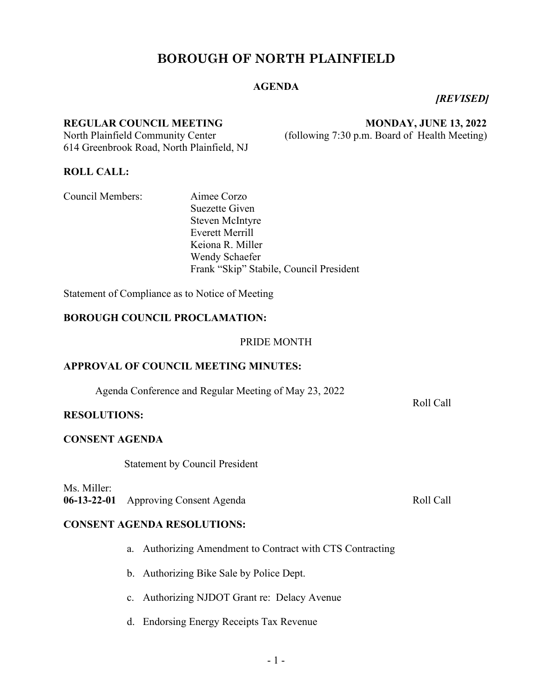# **BOROUGH OF NORTH PLAINFIELD**

## **AGENDA**

*[REVISED]*

#### **REGULAR COUNCIL MEETING MONDAY, JUNE 13, 2022**

North Plainfield Community Center (following 7:30 p.m. Board of Health Meeting) 614 Greenbrook Road, North Plainfield, NJ

**ROLL CALL:**

Council Members:Aimee Corzo

Suezette Given Steven McIntyre Everett Merrill Keiona R. Miller Wendy Schaefer Frank "Skip" Stabile, Council President

Statement of Compliance as to Notice of Meeting

## **BOROUGH COUNCIL PROCLAMATION:**

PRIDE MONTH

#### **APPROVAL OF COUNCIL MEETING MINUTES:**

Agenda Conference and Regular Meeting of May 23, 2022

#### **RESOLUTIONS:**

#### **CONSENT AGENDA**

Statement by Council President

Ms. Miller: 06-13-22-01 Approving Consent Agenda Roll Call

## **CONSENT AGENDA RESOLUTIONS:**

- a. Authorizing Amendment to Contract with CTS Contracting
- b. Authorizing Bike Sale by Police Dept.
- c. Authorizing NJDOT Grant re: Delacy Avenue
- d. Endorsing Energy Receipts Tax Revenue

Roll Call